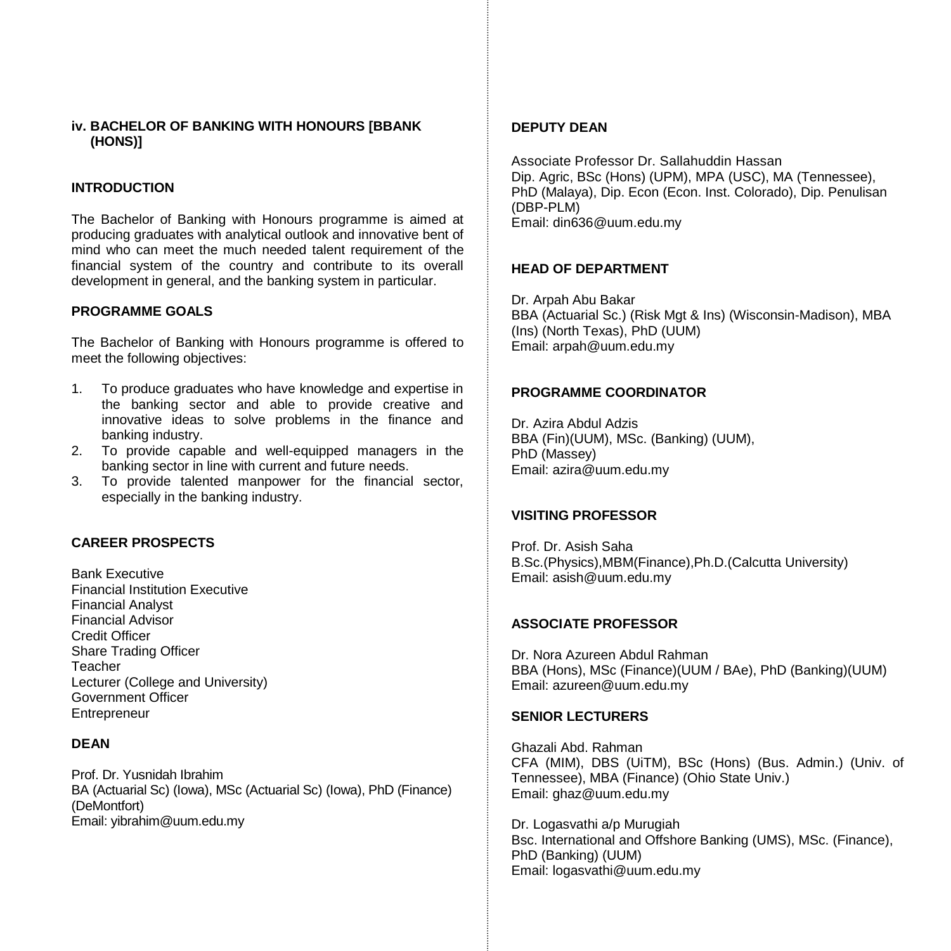## **iv. BACHELOR OF BANKING WITH HONOURS [BBANK (HONS)]**

## **INTRODUCTION**

The Bachelor of Banking with Honours programme is aimed at producing graduates with analytical outlook and innovative bent of mind who can meet the much needed talent requirement of the financial system of the country and contribute to its overall development in general, and the banking system in particular.

#### **PROGRAMME GOALS**

The Bachelor of Banking with Honours programme is offered to meet the following objectives:

- 1. To produce graduates who have knowledge and expertise in the banking sector and able to provide creative and innovative ideas to solve problems in the finance and banking industry.
- 2. To provide capable and well-equipped managers in the banking sector in line with current and future needs.
- 3. To provide talented manpower for the financial sector, especially in the banking industry.

#### **CAREER PROSPECTS**

Bank Executive Financial Institution Executive Financial Analyst Financial Advisor Credit Officer Share Trading Officer Teacher Lecturer (College and University) Government Officer **Entrepreneur** 

## **DEAN**

Prof. Dr. Yusnidah Ibrahim BA (Actuarial Sc) (Iowa), MSc (Actuarial Sc) (Iowa), PhD (Finance) (DeMontfort) Email[: yibrahim@uum.edu.my](mailto:aali@uum.edu.my)

#### **DEPUTY DEAN**

Associate Professor Dr. Sallahuddin Hassan Dip. Agric, BSc (Hons) (UPM), MPA (USC), MA (Tennessee), PhD (Malaya), Dip. Econ (Econ. Inst. Colorado), Dip. Penulisan (DBP-PLM) Email: din636@uum.edu.my

#### **HEAD OF DEPARTMENT**

Dr. Arpah Abu Bakar BBA (Actuarial Sc.) (Risk Mgt & Ins) (Wisconsin-Madison), MBA (Ins) (North Texas), PhD (UUM) Email: arpah@uum.edu.my

#### **PROGRAMME COORDINATOR**

Dr. Azira Abdul Adzis BBA (Fin)(UUM), MSc. (Banking) (UUM), PhD (Massey) Email: azira@uum.edu.my

#### **VISITING PROFESSOR**

Prof. Dr. Asish Saha B.Sc.(Physics),MBM(Finance),Ph.D.(Calcutta University) Email: asish@uum.edu.my

### **ASSOCIATE PROFESSOR**

Dr. Nora Azureen Abdul Rahman BBA (Hons), MSc (Finance)(UUM / BAe), PhD (Banking)(UUM) Email: azureen@uum.edu.my

#### **SENIOR LECTURERS**

Ghazali Abd. Rahman CFA (MIM), DBS (UiTM), BSc (Hons) (Bus. Admin.) (Univ. of Tennessee), MBA (Finance) (Ohio State Univ.) Email[: ghaz@uum.edu.my](mailto:ghaz@uum.edu.my)

Dr. Logasvathi a/p Murugiah Bsc. International and Offshore Banking (UMS), MSc. (Finance), PhD (Banking) (UUM) Email[: logasvathi@uum.edu.my](mailto:logasvathi@uum.edu.my)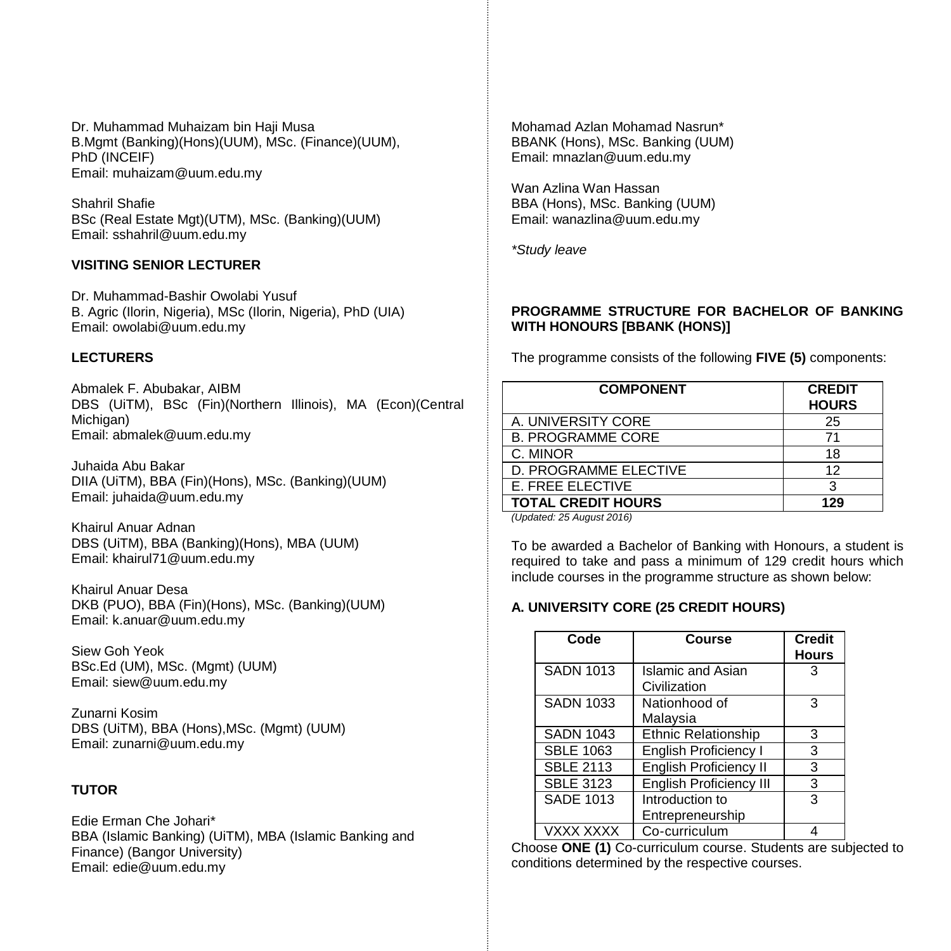Dr. Muhammad Muhaizam bin Haji Musa B.Mgmt (Banking)(Hons)(UUM), MSc. (Finance)(UUM), PhD (INCEIF) Email: [muhaizam@uum.edu.my](https://uummail.uum.edu.my/OWA/redir.aspx?C=316134b06fae444581b2bc670d646f2b&URL=mailto%3amuhaizam%40uum.edu.my)

Shahril Shafie BSc (Real Estate Mgt)(UTM), MSc. (Banking)(UUM) Email: [sshahril@uum.edu.my](mailto:sshahril@uum.edu.my)

## **VISITING SENIOR LECTURER**

Dr. Muhammad-Bashir Owolabi Yusuf B. Agric (Ilorin, Nigeria), MSc (Ilorin, Nigeria), PhD (UIA) Email: owolabi@uum.edu.my

## **LECTURERS**

Abmalek F. Abubakar, AIBM DBS (UiTM), BSc (Fin)(Northern Illinois), MA (Econ)(Central Michigan) Email: abmalek@uum.edu.my

Juhaida Abu Bakar DIIA (UiTM), BBA (Fin)(Hons), MSc. (Banking)(UUM) Email: juhaida@uum.edu.my

Khairul Anuar Adnan DBS (UiTM), BBA (Banking)(Hons), MBA (UUM) Email: khairul71@uum.edu.my

Khairul Anuar Desa DKB (PUO), BBA (Fin)(Hons), MSc. (Banking)(UUM) Email: k.anuar@uum.edu.my

Siew Goh Yeok BSc.Ed (UM), MSc. (Mgmt) (UUM) Email: [siew@uum.edu.my](mailto:siew@uum.edu.my)

Zunarni Kosim DBS (UiTM), BBA (Hons),MSc. (Mgmt) (UUM) Email: zunarni@uum.edu.my

## **TUTOR**

Edie Erman Che Johari\* BBA (Islamic Banking) (UiTM), MBA (Islamic Banking and Finance) (Bangor University) Email: edie@uum.edu.my

Mohamad Azlan Mohamad Nasrun\* BBANK (Hons), MSc. Banking (UUM) Email: mnazlan@uum.edu.my

Wan Azlina Wan Hassan BBA (Hons), MSc. Banking (UUM) Email: wanazlina@uum.edu.my

*\*Study leave*

## **PROGRAMME STRUCTURE FOR BACHELOR OF BANKING WITH HONOURS [BBANK (HONS)]**

The programme consists of the following **FIVE (5)** components:

| <b>COMPONENT</b>                                                                                                                                                                                                                                                                                                                                                                                                   | <b>CREDIT</b><br><b>HOURS</b> |
|--------------------------------------------------------------------------------------------------------------------------------------------------------------------------------------------------------------------------------------------------------------------------------------------------------------------------------------------------------------------------------------------------------------------|-------------------------------|
| A. UNIVERSITY CORE                                                                                                                                                                                                                                                                                                                                                                                                 | 25                            |
| <b>B. PROGRAMME CORE</b>                                                                                                                                                                                                                                                                                                                                                                                           | 71                            |
| C. MINOR                                                                                                                                                                                                                                                                                                                                                                                                           | 18                            |
| D. PROGRAMME ELECTIVE                                                                                                                                                                                                                                                                                                                                                                                              | 12                            |
| LE. FREE ELECTIVE                                                                                                                                                                                                                                                                                                                                                                                                  | 3                             |
| <b>TOTAL CREDIT HOURS</b><br>$\overline{u}$ , $\overline{u}$ , $\overline{u}$ , $\overline{u}$ , $\overline{u}$ , $\overline{u}$ , $\overline{u}$ , $\overline{u}$ , $\overline{u}$ , $\overline{u}$ , $\overline{u}$ , $\overline{u}$ , $\overline{u}$ , $\overline{u}$ , $\overline{u}$ , $\overline{u}$ , $\overline{u}$ , $\overline{u}$ , $\overline{u}$ , $\overline{u}$ , $\overline{u}$ , $\overline{u}$ , | 129                           |

*(Updated: 25 August 2016)*

To be awarded a Bachelor of Banking with Honours, a student is required to take and pass a minimum of 129 credit hours which include courses in the programme structure as shown below:

## **A. UNIVERSITY CORE (25 CREDIT HOURS)**

| Code             | Course                                   | <b>Credit</b><br><b>Hours</b> |
|------------------|------------------------------------------|-------------------------------|
| <b>SADN 1013</b> | <b>Islamic and Asian</b><br>Civilization | 3                             |
| <b>SADN 1033</b> | Nationhood of<br>Malaysia                | 3                             |
| <b>SADN 1043</b> | <b>Ethnic Relationship</b>               | 3                             |
| <b>SBLE 1063</b> | English Proficiency I                    | 3                             |
| <b>SBLE 2113</b> | <b>English Proficiency II</b>            | 3                             |
| <b>SBLE 3123</b> | English Proficiency III                  | 3                             |
| <b>SADE 1013</b> | Introduction to<br>Entrepreneurship      | 3                             |
| VXXX XXXX        | Co-curriculum                            |                               |

Choose **ONE (1)** Co-curriculum course. Students are subjected to conditions determined by the respective courses.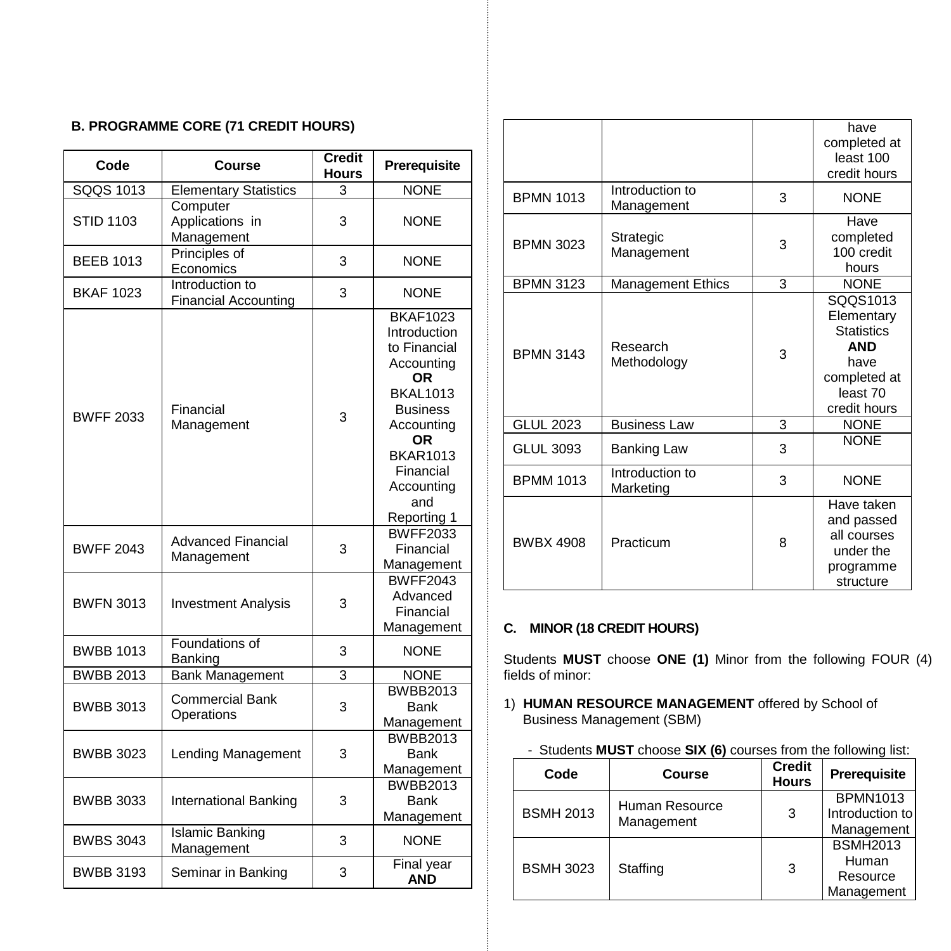# **B. PROGRAMME CORE (71 CREDIT HOURS)**

| Code             | Course                                         | <b>Credit</b><br><b>Hours</b> | Prerequisite                                                                                                                                                                                       |
|------------------|------------------------------------------------|-------------------------------|----------------------------------------------------------------------------------------------------------------------------------------------------------------------------------------------------|
| SQQS 1013        | <b>Elementary Statistics</b>                   | 3                             | <b>NONE</b>                                                                                                                                                                                        |
| <b>STID 1103</b> | Computer<br>Applications in<br>Management      | 3                             | <b>NONE</b>                                                                                                                                                                                        |
| <b>BEEB 1013</b> | Principles of<br>Economics                     | 3                             | <b>NONE</b>                                                                                                                                                                                        |
| <b>BKAF 1023</b> | Introduction to<br><b>Financial Accounting</b> | 3                             | <b>NONE</b>                                                                                                                                                                                        |
| <b>BWFF 2033</b> | Financial<br>Management                        | 3                             | <b>BKAF1023</b><br>Introduction<br>to Financial<br>Accounting<br>0R<br><b>BKAI 1013</b><br><b>Business</b><br>Accounting<br>OR<br><b>BKAR1013</b><br>Financial<br>Accounting<br>and<br>Reporting 1 |
| <b>BWFF 2043</b> | <b>Advanced Financial</b><br>Management        | 3                             | <b>BWFF2033</b><br>Financial<br>Management                                                                                                                                                         |
| <b>BWFN 3013</b> | <b>Investment Analysis</b>                     | 3                             | <b>BWFF2043</b><br>Advanced<br>Financial<br>Management                                                                                                                                             |
| <b>BWBB 1013</b> | Foundations of<br>Banking                      | 3                             | <b>NONE</b>                                                                                                                                                                                        |
| <b>BWBB 2013</b> | <b>Bank Management</b>                         | 3                             | <b>NONE</b>                                                                                                                                                                                        |
| <b>BWBB 3013</b> | Commercial Bank<br>Operations                  | 3                             | <b>BWBB2013</b><br>Bank<br>Management                                                                                                                                                              |
| <b>BWBB 3023</b> | Lending Management                             | 3                             | <b>BWBB2013</b><br><b>Bank</b><br>Management                                                                                                                                                       |
| <b>BWBB 3033</b> | International Banking                          | 3                             | <b>BWBB2013</b><br><b>Bank</b><br>Management                                                                                                                                                       |
| <b>BWBS 3043</b> | <b>Islamic Banking</b><br>Management           | 3                             | <b>NONE</b>                                                                                                                                                                                        |
| <b>BWBB 3193</b> | Seminar in Banking                             | 3                             | <b>Final year</b><br><b>AND</b>                                                                                                                                                                    |

|                  |                               |   | have<br>completed at<br>least 100<br>credit hours                                                             |
|------------------|-------------------------------|---|---------------------------------------------------------------------------------------------------------------|
| <b>BPMN 1013</b> | Introduction to<br>Management | 3 | <b>NONE</b>                                                                                                   |
| <b>BPMN 3023</b> | Strategic<br>Management       | 3 | Have<br>completed<br>100 credit<br>hours                                                                      |
| <b>BPMN 3123</b> | Management Ethics             | 3 | <b>NONE</b>                                                                                                   |
| <b>BPMN 3143</b> | Research<br>Methodology       | 3 | SQQS1013<br>Elementary<br><b>Statistics</b><br><b>AND</b><br>have<br>completed at<br>least 70<br>credit hours |
| <b>GLUL 2023</b> | <b>Business Law</b>           | 3 | <b>NONE</b>                                                                                                   |
| <b>GLUL 3093</b> | <b>Banking Law</b>            | 3 | <b>NONE</b>                                                                                                   |
| <b>BPMM 1013</b> | Introduction to<br>Marketing  | 3 | <b>NONE</b>                                                                                                   |
| <b>BWBX 4908</b> | Practicum                     | 8 | Have taken<br>and passed<br>all courses<br>under the<br>programme<br>structure                                |

## **C. MINOR (18 CREDIT HOURS)**

Students **MUST** choose **ONE (1)** Minor from the following FOUR (4) fields of minor:

- 1) **HUMAN RESOURCE MANAGEMENT** offered by School of Business Management (SBM)
	- Students **MUST** choose **SIX (6)** courses from the following list:

| Code             | Course         | <b>Credit</b><br><b>Hours</b> | Prerequisite                                       |
|------------------|----------------|-------------------------------|----------------------------------------------------|
| <b>BSMH 2013</b> | Human Resource | 3                             | <b>BPMN1013</b><br>Introduction to                 |
| Management       |                | Management                    |                                                    |
| <b>BSMH 3023</b> | Staffing       | 3                             | <b>BSMH2013</b><br>Human<br>Resource<br>Management |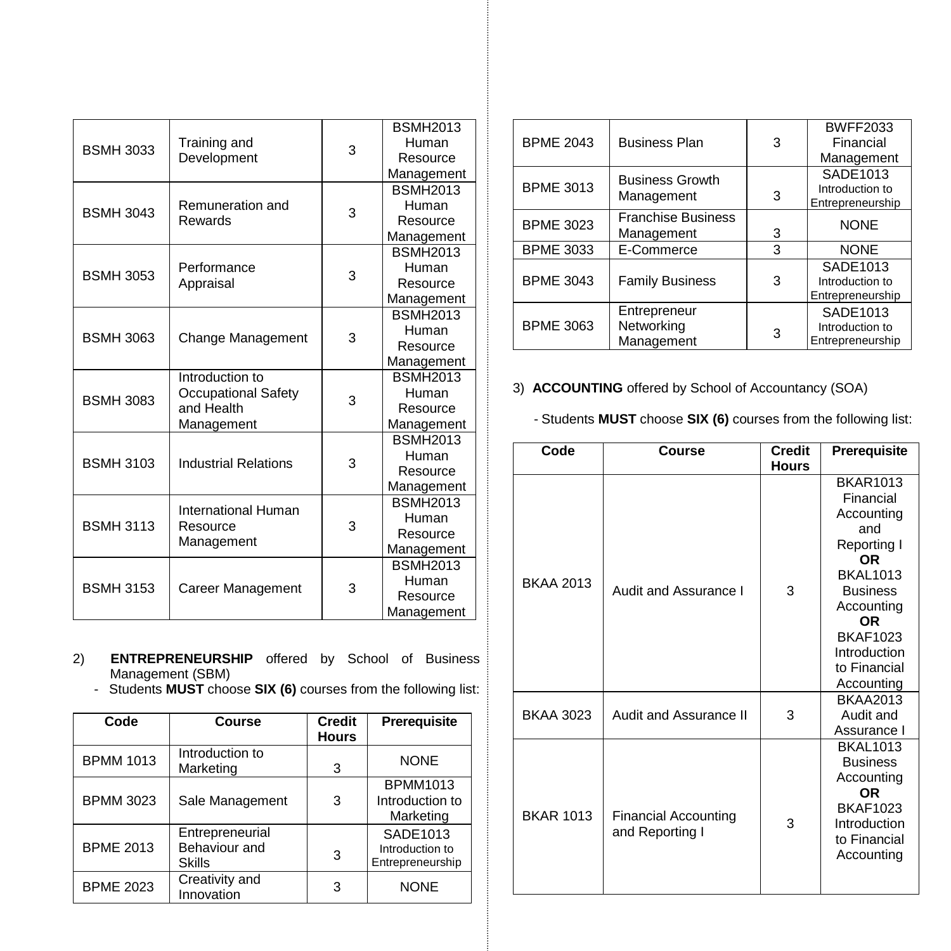| <b>BSMH 3033</b> | Training and                                                       | 3 | <b>BSMH2013</b> |
|------------------|--------------------------------------------------------------------|---|-----------------|
|                  |                                                                    |   | Human           |
|                  | Development                                                        |   | Resource        |
|                  |                                                                    |   | Management      |
|                  |                                                                    |   | <b>BSMH2013</b> |
| <b>BSMH 3043</b> | Remuneration and                                                   | 3 | Human           |
|                  | Rewards                                                            |   | Resource        |
|                  |                                                                    |   | Management      |
|                  |                                                                    |   | <b>BSMH2013</b> |
| <b>BSMH 3053</b> | Performance                                                        | 3 | Human           |
|                  | Appraisal                                                          |   | Resource        |
|                  |                                                                    |   | Management      |
|                  |                                                                    |   | <b>BSMH2013</b> |
| <b>BSMH 3063</b> | Change Management                                                  | 3 | Human           |
|                  |                                                                    |   | Resource        |
|                  |                                                                    |   | Management      |
|                  | Introduction to<br>Occupational Safety<br>and Health<br>Management | 3 | <b>BSMH2013</b> |
| <b>BSMH 3083</b> |                                                                    |   | Human           |
|                  |                                                                    |   | Resource        |
|                  |                                                                    |   | Management      |
|                  |                                                                    |   | <b>BSMH2013</b> |
| <b>BSMH 3103</b> | <b>Industrial Relations</b>                                        | 3 | Human           |
|                  |                                                                    |   | Resource        |
|                  |                                                                    |   | Management      |
|                  | International Human                                                |   | <b>BSMH2013</b> |
| <b>BSMH 3113</b> | Resource                                                           | 3 | Human           |
|                  | Management                                                         |   | Resource        |
|                  |                                                                    |   | Management      |
| <b>BSMH 3153</b> |                                                                    | 3 | <b>BSMH2013</b> |
|                  | <b>Career Management</b>                                           |   | Human           |
|                  |                                                                    |   | Resource        |
|                  |                                                                    |   | Management      |

- 2) **ENTREPRENEURSHIP** offered by School of Business Management (SBM)
	- Students **MUST** choose **SIX (6)** courses from the following list:

| Code             | Course                                            | <b>Credit</b> | Prerequisite                                    |
|------------------|---------------------------------------------------|---------------|-------------------------------------------------|
|                  |                                                   | <b>Hours</b>  |                                                 |
| <b>BPMM 1013</b> | Introduction to<br>Marketing                      | 3             | <b>NONE</b>                                     |
| <b>BPMM 3023</b> | Sale Management                                   | 3             | <b>BPMM1013</b><br>Introduction to<br>Marketing |
| <b>BPME 2013</b> | Entrepreneurial<br>Behaviour and<br><b>Skills</b> | 3             | SADE1013<br>Introduction to<br>Entrepreneurship |
| <b>BPME 2023</b> | Creativity and<br>Innovation                      | 3             | <b>NONE</b>                                     |

|                  |                           |   | <b>BWFF2033</b>  |
|------------------|---------------------------|---|------------------|
| <b>BPME 2043</b> | <b>Business Plan</b>      | 3 | Financial        |
|                  |                           |   | Management       |
|                  | <b>Business Growth</b>    |   | SADE1013         |
| <b>BPME 3013</b> |                           |   | Introduction to  |
|                  | Management                | 3 | Entrepreneurship |
| <b>BPME 3023</b> | <b>Franchise Business</b> |   | <b>NONE</b>      |
|                  | Management                | 3 |                  |
| <b>BPME 3033</b> | E-Commerce                | 3 | <b>NONE</b>      |
|                  |                           |   | SADE1013         |
| <b>BPME 3043</b> | <b>Family Business</b>    | 3 | Introduction to  |
|                  |                           |   | Entrepreneurship |
|                  | Entrepreneur              |   | SADE1013         |
| <b>BPME 3063</b> | Networking                |   | Introduction to  |
|                  | Management                | 3 | Entrepreneurship |
|                  |                           |   |                  |

3) **ACCOUNTING** offered by School of Accountancy (SOA)

- Students **MUST** choose **SIX (6)** courses from the following list:

| Code             | Course                                         | <b>Credit</b><br><b>Hours</b> | Prerequisite                                                                                                                                                                                              |
|------------------|------------------------------------------------|-------------------------------|-----------------------------------------------------------------------------------------------------------------------------------------------------------------------------------------------------------|
| <b>BKAA 2013</b> | Audit and Assurance I                          | 3                             | <b>BKAR1013</b><br>Financial<br>Accounting<br>and<br>Reporting I<br>0R<br><b>BKAI 1013</b><br><b>Business</b><br>Accounting<br><b>OR</b><br><b>BKAF1023</b><br>Introduction<br>to Financial<br>Accounting |
| <b>BKAA 3023</b> | Audit and Assurance II                         | 3                             | <b>BKAA2013</b><br>Audit and<br>Assurance I                                                                                                                                                               |
| <b>BKAR 1013</b> | <b>Financial Accounting</b><br>and Reporting I | 3                             | <b>BKAL1013</b><br><b>Business</b><br>Accounting<br><b>OR</b><br><b>BKAF1023</b><br>Introduction<br>to Financial<br>Accounting                                                                            |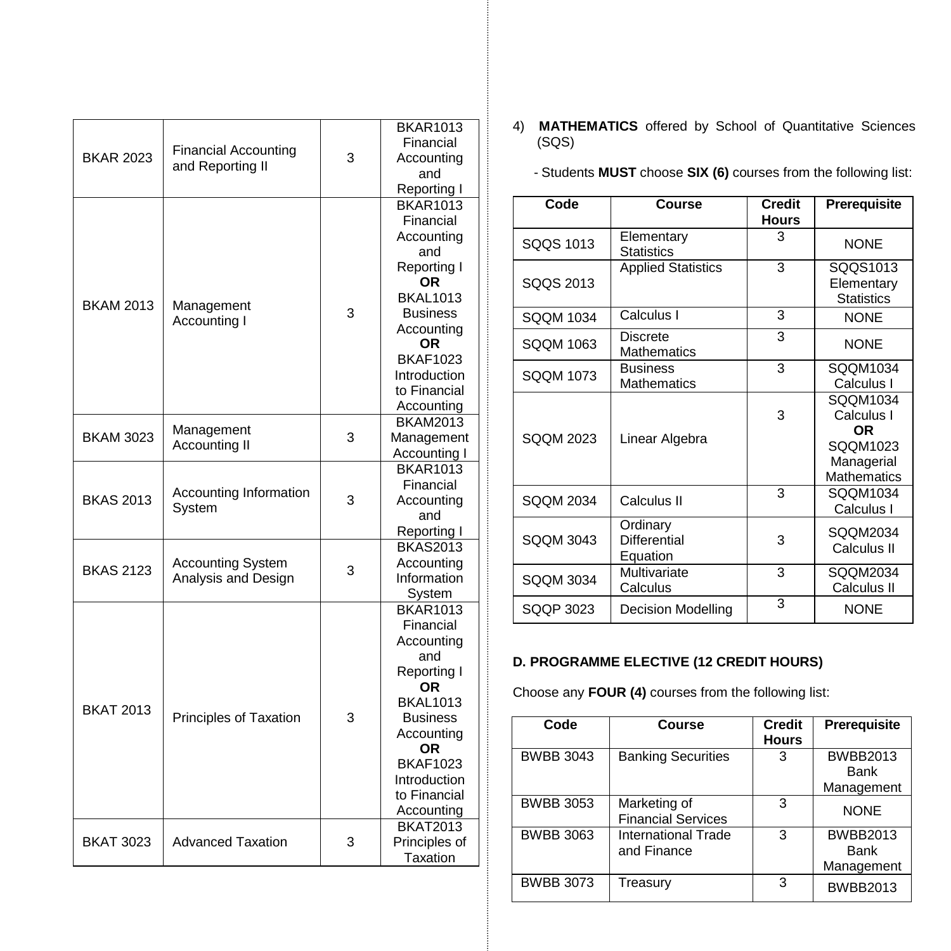| <b>BKAR 2023</b> | <b>Financial Accounting</b><br>and Reporting II | 3 | <b>BKAR1013</b><br>Financial<br>Accounting<br>and<br>Reporting I                                                                                                                                         |
|------------------|-------------------------------------------------|---|----------------------------------------------------------------------------------------------------------------------------------------------------------------------------------------------------------|
| <b>BKAM 2013</b> | Management<br>Accounting I                      | 3 | <b>BKAR1013</b><br>Financial<br>Accounting<br>and<br>Reporting I<br>ΟR<br><b>BKAL1013</b><br><b>Business</b><br>Accounting<br>ΟR<br><b>BKAF1023</b><br>Introduction<br>to Financial<br>Accounting        |
| <b>BKAM 3023</b> | Management<br>Accounting II                     | 3 | <b>BKAM2013</b><br>Management<br>Accounting I                                                                                                                                                            |
| <b>BKAS 2013</b> | Accounting Information<br>System                | 3 | <b>BKAR1013</b><br>Financial<br>Accounting<br>and<br>Reporting I                                                                                                                                         |
| <b>BKAS 2123</b> | <b>Accounting System</b><br>Analysis and Design | 3 | <b>BKAS2013</b><br>Accounting<br>Information<br>System                                                                                                                                                   |
| <b>BKAT 2013</b> | Principles of Taxation                          | 3 | <b>BKAR1013</b><br>Financial<br>Accounting<br>and<br>Reporting I<br>ΟR<br><b>BKAL1013</b><br><b>Business</b><br>Accounting<br><b>OR</b><br><b>BKAF1023</b><br>Introduction<br>to Financial<br>Accounting |
| <b>BKAT 3023</b> | <b>Advanced Taxation</b>                        | 3 | <b>BKAT2013</b><br>Principles of<br>Taxation                                                                                                                                                             |

- 4) **MATHEMATICS** offered by School of Quantitative Sciences (SQS)
	- Students **MUST** choose **SIX (6)** courses from the following list:

| Code             | Course                                      | <b>Credit</b><br><b>Hours</b> | <b>Prerequisite</b>                                                           |
|------------------|---------------------------------------------|-------------------------------|-------------------------------------------------------------------------------|
| SOOS 1013        | Elementary<br><b>Statistics</b>             | 3                             | <b>NONE</b>                                                                   |
| SQQS 2013        | <b>Applied Statistics</b>                   | 3                             | SQQS1013<br>Elementary<br><b>Statistics</b>                                   |
| SQQM 1034        | Calculus I                                  | 3                             | <b>NONE</b>                                                                   |
| SQQM 1063        | Discrete<br>Mathematics                     | 3                             | <b>NONF</b>                                                                   |
| SOOM 1073        | <b>Business</b><br><b>Mathematics</b>       | 3                             | SQQM1034<br>Calculus I                                                        |
| <b>SQQM 2023</b> | Linear Algebra                              | 3                             | SQQM1034<br>Calculus I<br>OR.<br>SQQM1023<br>Managerial<br><b>Mathematics</b> |
| SOOM 2034        | Calculus II                                 | 3                             | SOOM1034<br>Calculus I                                                        |
| <b>SQQM 3043</b> | Ordinary<br><b>Differential</b><br>Equation | 3                             | SQQM2034<br>Calculus II                                                       |
| <b>SQQM 3034</b> | Multivariate<br>Calculus                    | 3                             | SQQM2034<br>Calculus II                                                       |
| SQQP 3023        | Decision Modelling                          | 3                             | <b>NONE</b>                                                                   |

# **D. PROGRAMME ELECTIVE (12 CREDIT HOURS)**

Choose any **FOUR (4)** courses from the following list:

| Code             | Course                                    | <b>Credit</b><br><b>Hours</b> | Prerequisite                          |
|------------------|-------------------------------------------|-------------------------------|---------------------------------------|
| <b>BWBB 3043</b> | <b>Banking Securities</b>                 | 3                             | <b>BWBB2013</b><br>Bank<br>Management |
| <b>BWBB 3053</b> | Marketing of<br><b>Financial Services</b> | 3                             | <b>NONE</b>                           |
| <b>BWBB 3063</b> | International Trade<br>and Finance        | 3                             | <b>BWBB2013</b><br>Bank<br>Management |
| <b>BWBB 3073</b> | Treasury                                  | 3                             | <b>BWBB2013</b>                       |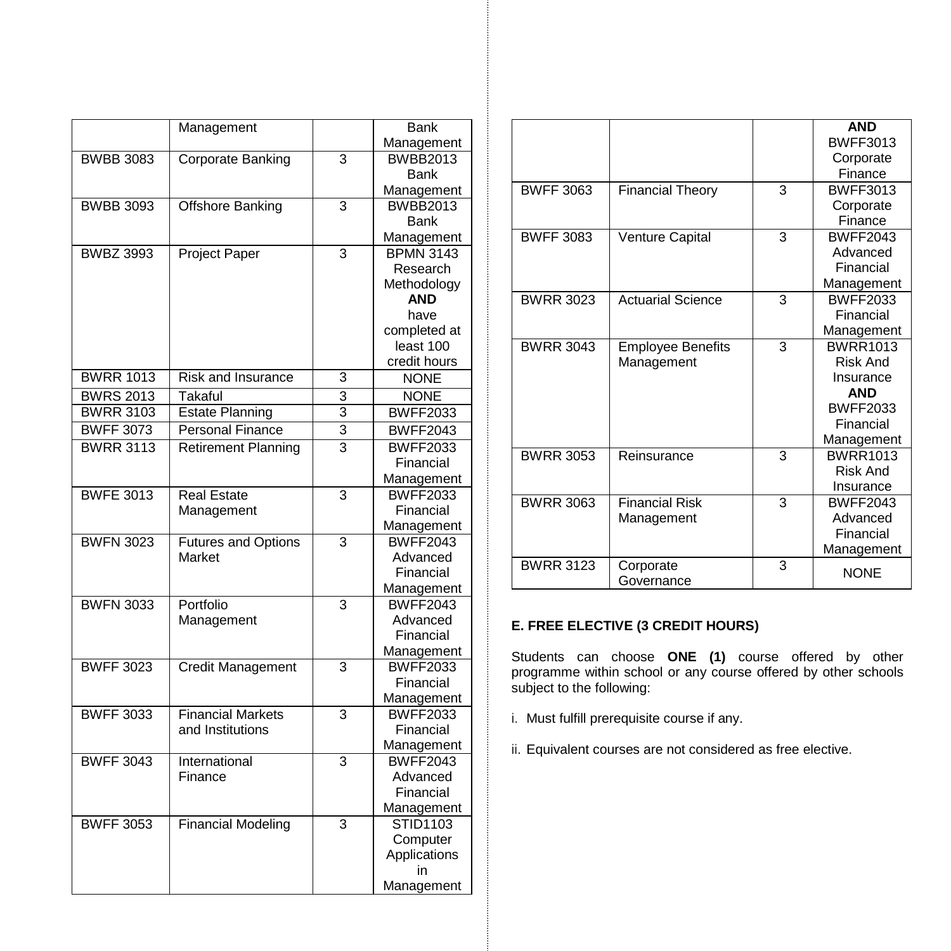|                  | Management                 |                         | Bank             |
|------------------|----------------------------|-------------------------|------------------|
|                  |                            |                         | Management       |
| <b>BWBB 3083</b> | Corporate Banking          | 3                       | <b>BWBB2013</b>  |
|                  |                            |                         | <b>Bank</b>      |
|                  |                            |                         | Management       |
| <b>BWBB 3093</b> | Offshore Banking           | 3                       | <b>BWBB2013</b>  |
|                  |                            |                         | <b>Bank</b>      |
|                  |                            |                         | Management       |
| <b>BWBZ 3993</b> | <b>Project Paper</b>       | 3                       | <b>BPMN 3143</b> |
|                  |                            |                         | Research         |
|                  |                            |                         | Methodology      |
|                  |                            |                         | <b>AND</b>       |
|                  |                            |                         | have             |
|                  |                            |                         | completed at     |
|                  |                            |                         | least 100        |
|                  |                            |                         | credit hours     |
| <b>BWRR 1013</b> | <b>Risk and Insurance</b>  | 3                       | <b>NONE</b>      |
| <b>BWRS 2013</b> | Takaful                    | 3                       | <b>NONE</b>      |
| <b>BWRR 3103</b> | <b>Estate Planning</b>     | $\overline{3}$          | <b>BWFF2033</b>  |
| <b>BWFF 3073</b> | <b>Personal Finance</b>    | 3                       | <b>BWFF2043</b>  |
| <b>BWRR 3113</b> | <b>Retirement Planning</b> | $\overline{\mathbf{3}}$ | <b>BWFF2033</b>  |
|                  |                            |                         | Financial        |
|                  |                            |                         | Management       |
| <b>BWFE 3013</b> | <b>Real Estate</b>         | 3                       | <b>BWFF2033</b>  |
|                  | Management                 |                         | Financial        |
|                  |                            |                         | Management       |
| <b>BWFN 3023</b> | <b>Futures and Options</b> | 3                       | <b>BWFF2043</b>  |
|                  | Market                     |                         | Advanced         |
|                  |                            |                         | Financial        |
|                  |                            |                         | Management       |
| <b>BWFN 3033</b> | Portfolio                  | 3                       | <b>BWFF2043</b>  |
|                  | Management                 |                         | Advanced         |
|                  |                            |                         | Financial        |
|                  |                            |                         | Management       |
| <b>BWFF 3023</b> | Credit Management          | 3                       | <b>BWFF2033</b>  |
|                  |                            |                         | Financial        |
|                  |                            |                         | Management       |
| <b>BWFF 3033</b> | <b>Financial Markets</b>   | 3                       | <b>BWFF2033</b>  |
|                  | and Institutions           |                         | Financial        |
|                  |                            |                         | Management       |
| <b>BWFF 3043</b> | International              | 3                       | <b>BWFF2043</b>  |
|                  | Finance                    |                         | Advanced         |
|                  |                            |                         | Financial        |
|                  |                            |                         | Management       |
| <b>BWFF 3053</b> | <b>Financial Modeling</b>  | 3                       | STID1103         |
|                  |                            |                         | Computer         |
|                  |                            |                         | Applications     |
|                  |                            |                         | in               |
|                  |                            |                         | Management       |

|                  |                          |   | <b>AND</b>      |
|------------------|--------------------------|---|-----------------|
|                  |                          |   | <b>BWFF3013</b> |
|                  |                          |   | Corporate       |
|                  |                          |   | Finance         |
| <b>BWFF 3063</b> | <b>Financial Theory</b>  | 3 | <b>BWFF3013</b> |
|                  |                          |   | Corporate       |
|                  |                          |   | Finance         |
| <b>BWFF 3083</b> | <b>Venture Capital</b>   | 3 | <b>BWFF2043</b> |
|                  |                          |   | Advanced        |
|                  |                          |   | Financial       |
|                  |                          |   | Management      |
| <b>BWRR 3023</b> | <b>Actuarial Science</b> | 3 | <b>BWFF2033</b> |
|                  |                          |   | Financial       |
|                  |                          |   | Management      |
| <b>BWRR 3043</b> | <b>Employee Benefits</b> | 3 | <b>BWRR1013</b> |
|                  | Management               |   | Risk And        |
|                  |                          |   | Insurance       |
|                  |                          |   | <b>AND</b>      |
|                  |                          |   | <b>BWFF2033</b> |
|                  |                          |   | Financial       |
|                  |                          |   | Management      |
| <b>BWRR 3053</b> | Reinsurance              | 3 | <b>BWRR1013</b> |
|                  |                          |   | <b>Risk And</b> |
|                  |                          |   | Insurance       |
| <b>BWRR 3063</b> | <b>Financial Risk</b>    | 3 | <b>BWFF2043</b> |
|                  | Management               |   | Advanced        |
|                  |                          |   | Financial       |
|                  |                          |   | Management      |
| <b>BWRR 3123</b> | Corporate                | 3 | <b>NONE</b>     |
|                  | Governance               |   |                 |

# **E. FREE ELECTIVE (3 CREDIT HOURS)**

Students can choose **ONE (1)** course offered by other programme within school or any course offered by other schools subject to the following:

- i. Must fulfill prerequisite course if any.
- ii. Equivalent courses are not considered as free elective.